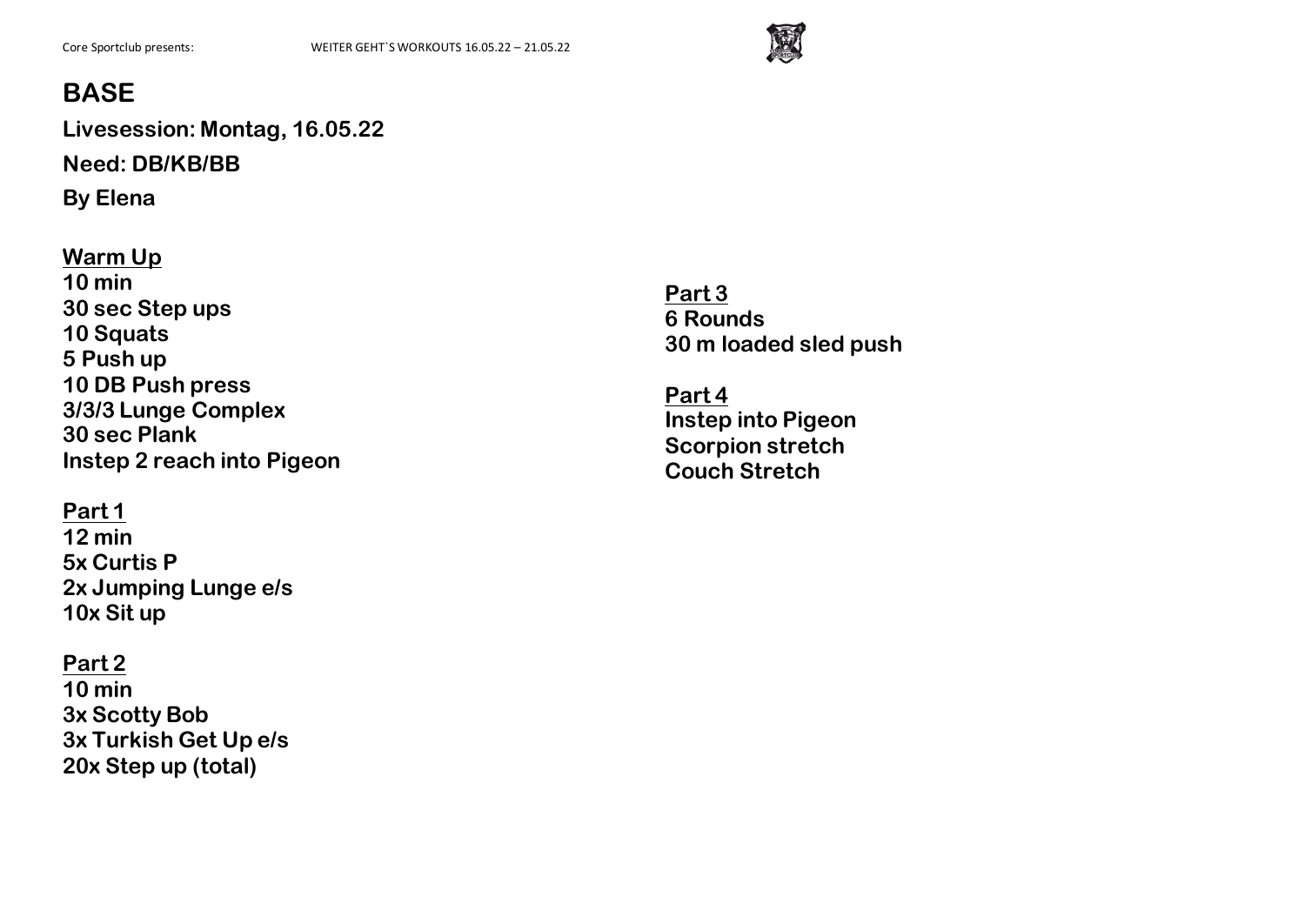

**Livesession: Montag, 16.05.22 Need: DB/KB/BB By Elena**

**Warm Up 10 min 30 sec Step ups 10 Squats 5 Push up 10 DB Push press 3/3/3 Lunge Complex 30 sec Plank Instep 2 reach into Pigeon**

### **Part 1**

**12 min 5x Curtis P 2x Jumping Lunge e/s 10x Sit up**

### **Part 2**

**10 min 3x Scotty Bob 3x Turkish Get Up e/s 20x Step up (total)**

**Part 3 6 Rounds 30 m loaded sled push**

**Part 4 Instep into Pigeon Scorpion stretch Couch Stretch**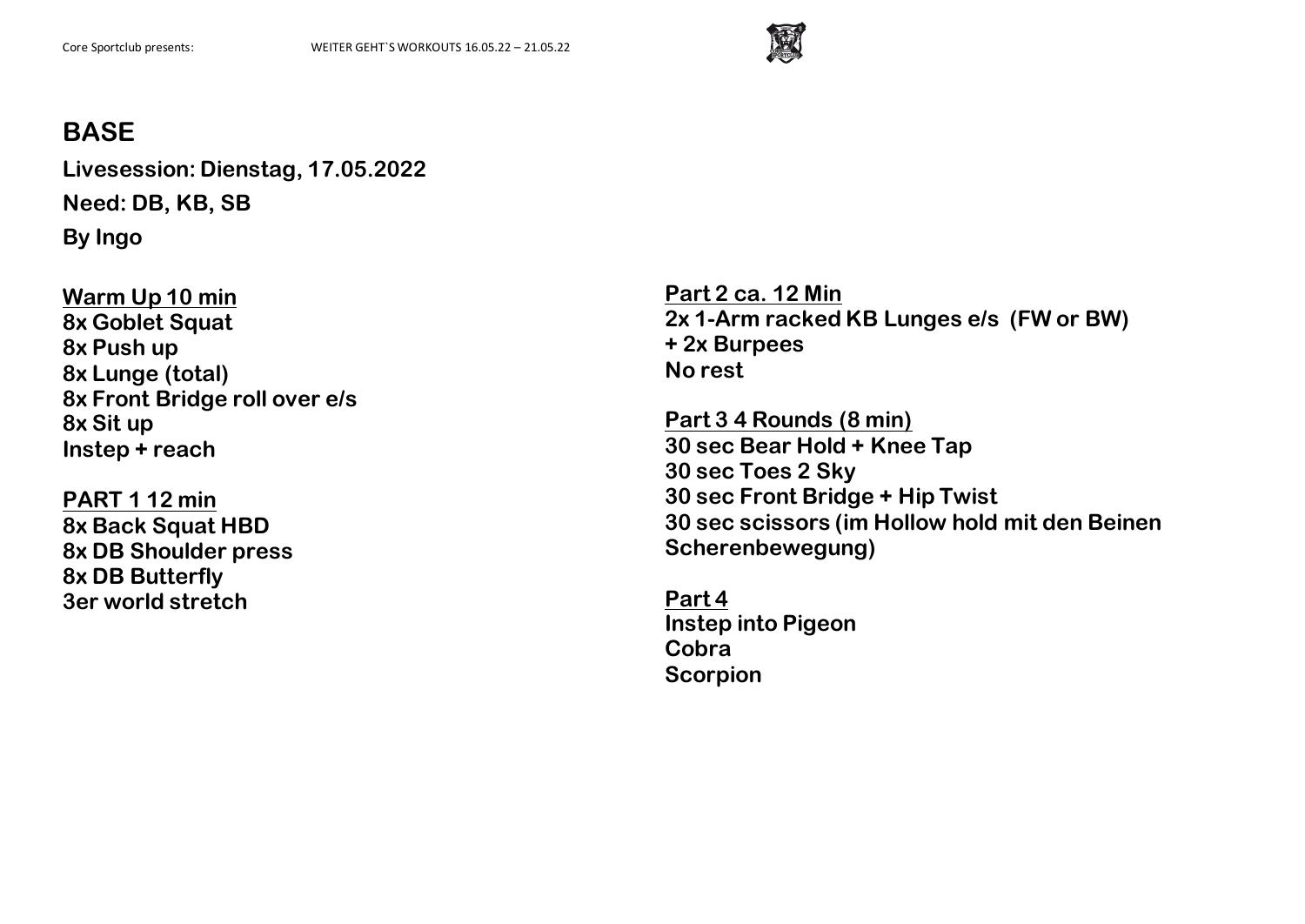

**Livesession: Dienstag, 17.05.2022 Need: DB, KB, SB By Ingo**

**Warm Up 10 min 8x Goblet Squat 8x Push up 8x Lunge (total) 8x Front Bridge roll over e/s 8x Sit up Instep + reach**

**PART 1 12 min 8x Back Squat HBD 8x DB Shoulder press 8x DB Butterfly 3er world stretch**

**Part 2 ca. 12 Min 2x 1-Arm racked KB Lunges e/s (FW or BW) + 2x Burpees No rest**

**Part 3 4 Rounds (8 min) 30 sec Bear Hold + Knee Tap 30 sec Toes 2 Sky 30 sec Front Bridge + Hip Twist 30 sec scissors (im Hollow hold mit den Beinen Scherenbewegung)**

**Part 4 Instep into Pigeon Cobra Scorpion**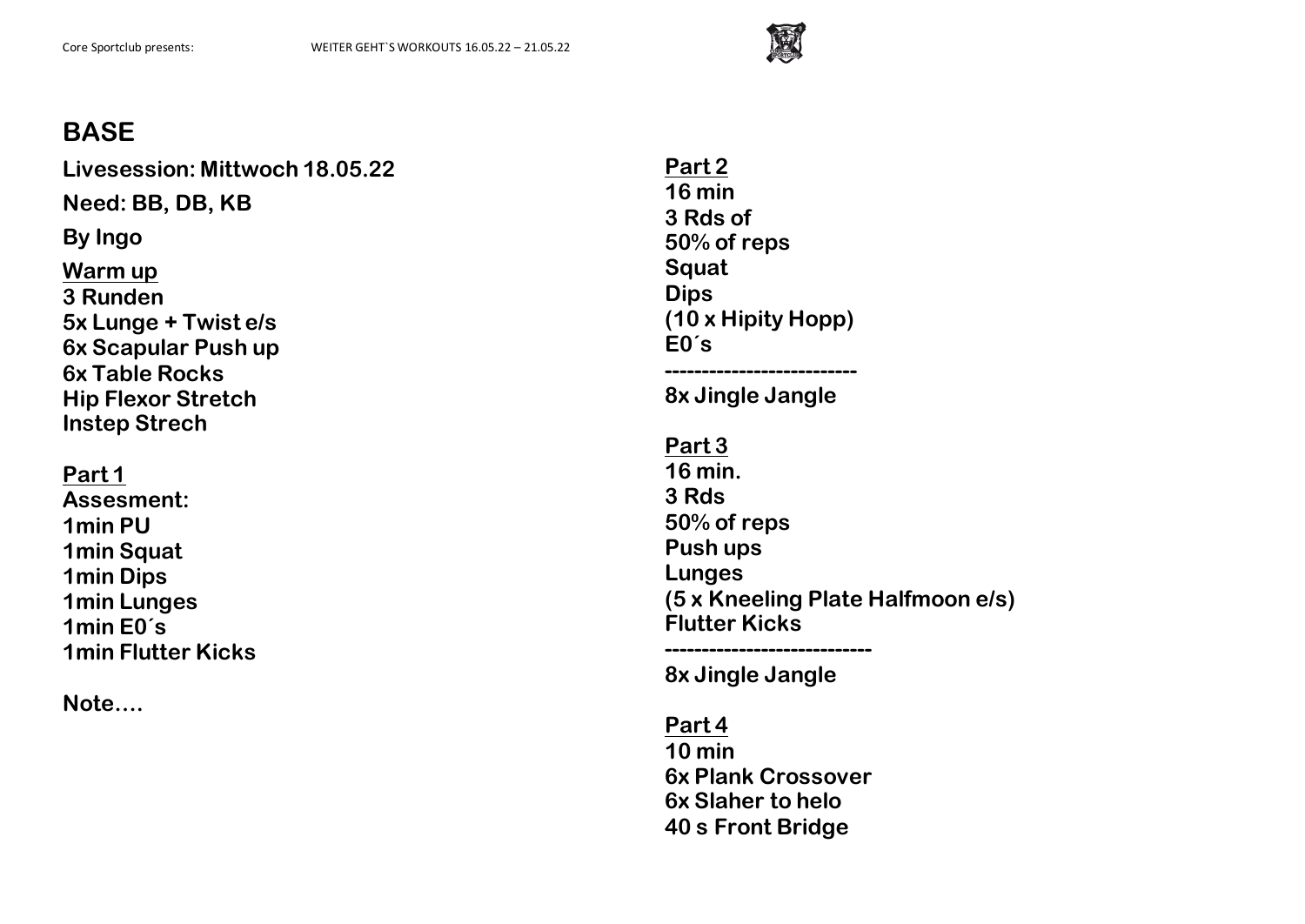

**Livesession: Mittwoch 18.05.22 Need: BB, DB, KB By Ingo Warm up 3 Runden 5x Lunge + Twist e/s 6x Scapular Push up 6x Table Rocks Hip Flexor Stretch Instep Strech Part 1 Assesment: 1min PU 1min Squat 1min Dips 1min Lunges 1min E0´s 1min Flutter Kicks**

**Note….**

**Part 2 16 min 3 Rds of 50% of reps Squat Dips (10 x Hipity Hopp) E0´s --------------------------**

**8x Jingle Jangle**

**Part 3 16 min. 3 Rds 50% of reps Push ups Lunges (5 x Kneeling Plate Halfmoon e/s) Flutter Kicks ----------------------------**

**8x Jingle Jangle**

#### **Part 4**

**10 min 6x Plank Crossover 6x Slaher to helo 40 s Front Bridge**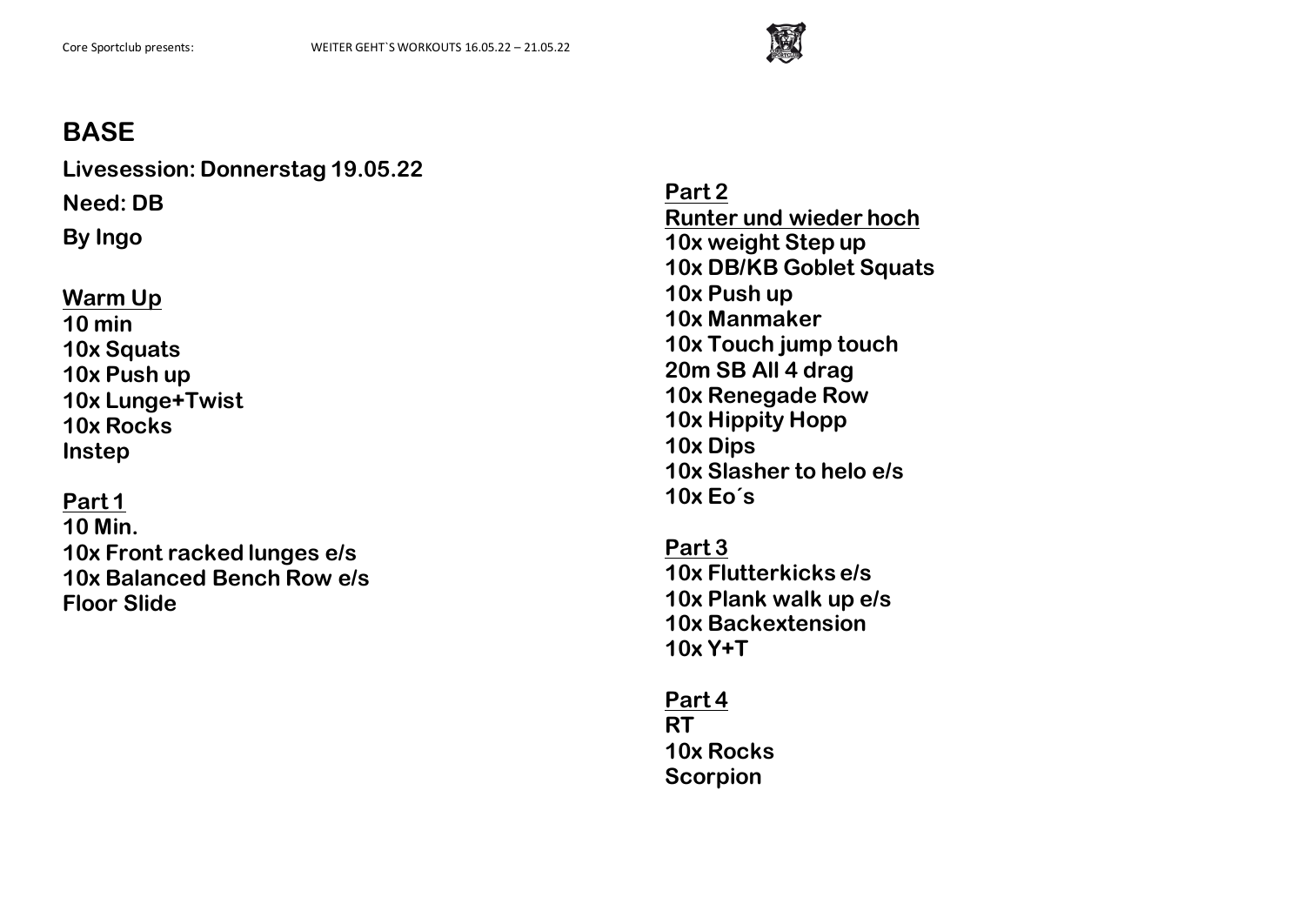

**Livesession: Donnerstag 19.05.22 Need: DB**

**By Ingo**

## **Warm Up 10 min 10x Squats 10x Push up 10x Lunge+Twist 10x Rocks Instep**

**Part 1 10 Min. 10x Front racked lunges e/s 10x Balanced Bench Row e/s Floor Slide**

**Part 2 Runter und wieder hoch 10x weight Step up 10x DB/KB Goblet Squats 10x Push up 10x Manmaker 10x Touch jump touch 20m SB All 4 drag 10x Renegade Row 10x Hippity Hopp 10x Dips 10x Slasher to helo e/s 10x Eo´s**

**Part 3 10x Flutterkicks e/s 10x Plank walk up e/s 10x Backextension 10x Y+T**

**Part 4 RT 10x Rocks Scorpion**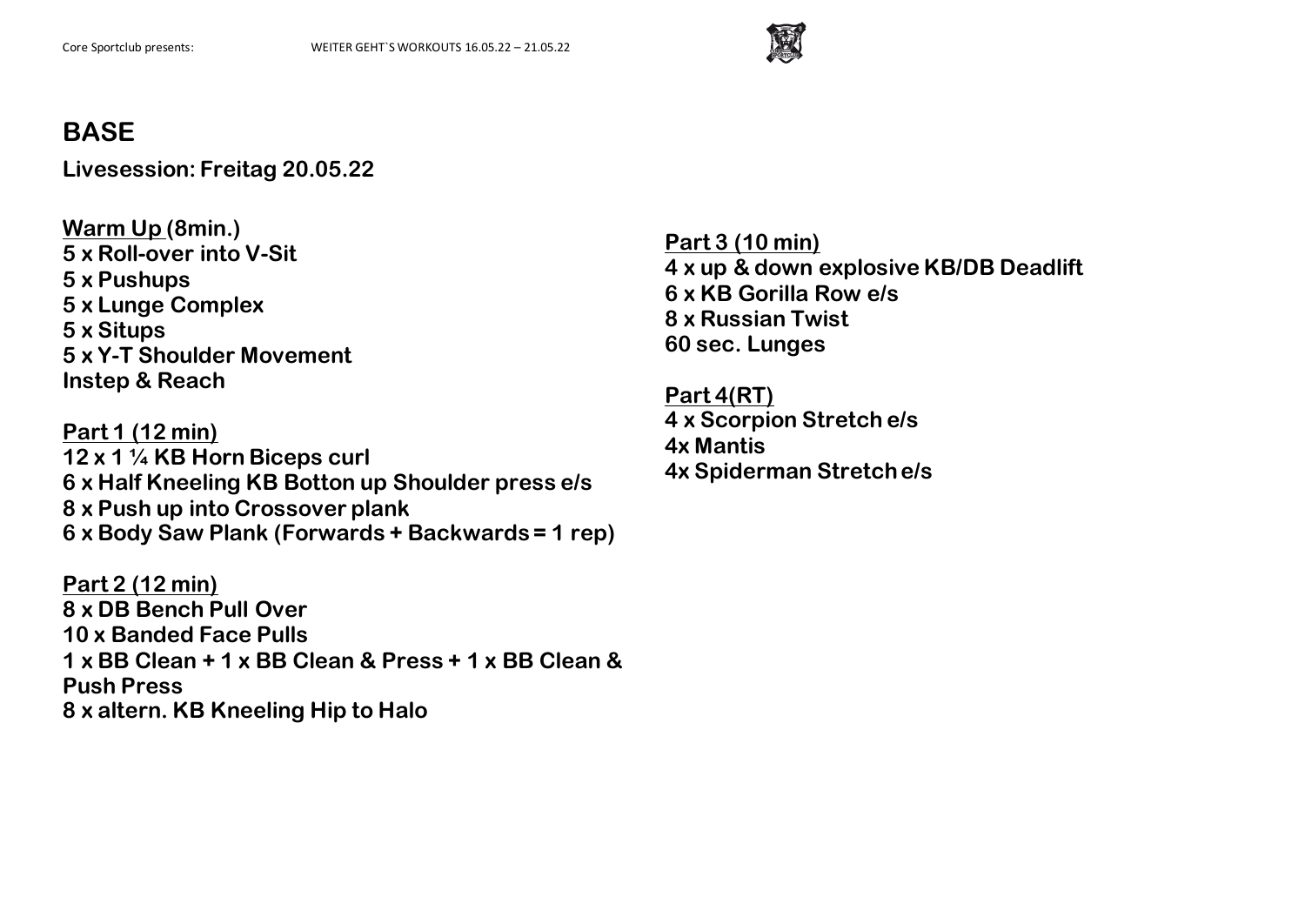

**Livesession: Freitag 20.05.22**

**Warm Up (8min.) 5 x Roll-over into V-Sit 5 x Pushups 5 x Lunge Complex 5 x Situps 5 x Y-T Shoulder Movement Instep & Reach**

**Part 1 (12 min) 12 x 1 ¼ KB Horn Biceps curl 6 x Half Kneeling KB Botton up Shoulder press e/s 8 x Push up into Crossover plank 6 x Body Saw Plank (Forwards + Backwards = 1 rep)**

**Part 2 (12 min) 8 x DB Bench Pull Over 10 x Banded Face Pulls 1 x BB Clean + 1 x BB Clean & Press + 1 x BB Clean & Push Press 8 x altern. KB Kneeling Hip to Halo**

**Part 3 (10 min) 4 x up & down explosive KB/DB Deadlift 6 x KB Gorilla Row e/s 8 x Russian Twist 60 sec. Lunges**

**Part 4(RT) 4 x Scorpion Stretch e/s 4x Mantis 4x Spiderman Stretch e/s**